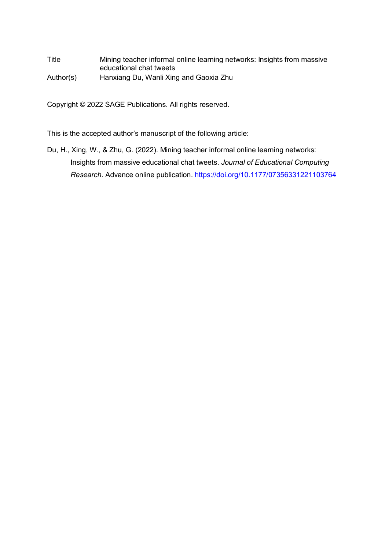## Title Mining teacher informal online learning networks: Insights from massive educational chat tweets Author(s) Hanxiang Du, Wanli Xing and Gaoxia Zhu

Copyright © 2022 SAGE Publications. All rights reserved.

This is the accepted author's manuscript of the following article:

Du, H., Xing, W., & Zhu, G. (2022). Mining teacher informal online learning networks: Insights from massive educational chat tweets. *Journal of Educational Computing Research*. Advance online publication. <https://doi.org/10.1177/07356331221103764>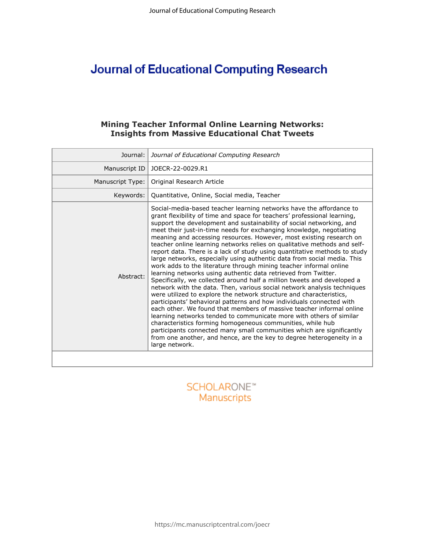# **Journal of Educational Computing Research**

## **Mining Teacher Informal Online Learning Networks: Insights from Massive Educational Chat Tweets**

| Journal:         | Journal of Educational Computing Research                                                                                                                                                                                                                                                                                                                                                                                                                                                                                                                                                                                                                                                                                                                                                                                                                                                                                                                                                                                                                                                                                                                                                                                                                                                                                                                                                                                               |
|------------------|-----------------------------------------------------------------------------------------------------------------------------------------------------------------------------------------------------------------------------------------------------------------------------------------------------------------------------------------------------------------------------------------------------------------------------------------------------------------------------------------------------------------------------------------------------------------------------------------------------------------------------------------------------------------------------------------------------------------------------------------------------------------------------------------------------------------------------------------------------------------------------------------------------------------------------------------------------------------------------------------------------------------------------------------------------------------------------------------------------------------------------------------------------------------------------------------------------------------------------------------------------------------------------------------------------------------------------------------------------------------------------------------------------------------------------------------|
| Manuscript ID    | JOECR-22-0029.R1                                                                                                                                                                                                                                                                                                                                                                                                                                                                                                                                                                                                                                                                                                                                                                                                                                                                                                                                                                                                                                                                                                                                                                                                                                                                                                                                                                                                                        |
| Manuscript Type: | Original Research Article                                                                                                                                                                                                                                                                                                                                                                                                                                                                                                                                                                                                                                                                                                                                                                                                                                                                                                                                                                                                                                                                                                                                                                                                                                                                                                                                                                                                               |
| Keywords:        | Quantitative, Online, Social media, Teacher                                                                                                                                                                                                                                                                                                                                                                                                                                                                                                                                                                                                                                                                                                                                                                                                                                                                                                                                                                                                                                                                                                                                                                                                                                                                                                                                                                                             |
| Abstract:        | Social-media-based teacher learning networks have the affordance to<br>grant flexibility of time and space for teachers' professional learning,<br>support the development and sustainability of social networking, and<br>meet their just-in-time needs for exchanging knowledge, negotiating<br>meaning and accessing resources. However, most existing research on<br>teacher online learning networks relies on qualitative methods and self-<br>report data. There is a lack of study using quantitative methods to study<br>large networks, especially using authentic data from social media. This<br>work adds to the literature through mining teacher informal online<br>learning networks using authentic data retrieved from Twitter.<br>Specifically, we collected around half a million tweets and developed a<br>network with the data. Then, various social network analysis techniques<br>were utilized to explore the network structure and characteristics,<br>participants' behavioral patterns and how individuals connected with<br>each other. We found that members of massive teacher informal online<br>learning networks tended to communicate more with others of similar<br>characteristics forming homogeneous communities, while hub<br>participants connected many small communities which are significantly<br>from one another, and hence, are the key to degree heterogeneity in a<br>large network. |
|                  |                                                                                                                                                                                                                                                                                                                                                                                                                                                                                                                                                                                                                                                                                                                                                                                                                                                                                                                                                                                                                                                                                                                                                                                                                                                                                                                                                                                                                                         |

## **SCHOLARONE™** Manuscripts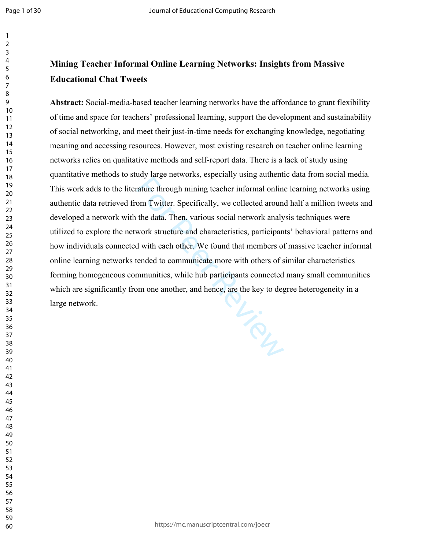## **Mining Teacher Informal Online Learning Networks: Insights from Massive Educational Chat Tweets**

Liver Review **Abstract:** Social-media-based teacher learning networks have the affordance to grant flexibility of time and space for teachers' professional learning, support the development and sustainability of social networking, and meet their just-in-time needs for exchanging knowledge, negotiating meaning and accessing resources. However, most existing research on teacher online learning networks relies on qualitative methods and self-report data. There is a lack of study using quantitative methods to study large networks, especially using authentic data from social media. This work adds to the literature through mining teacher informal online learning networks using authentic data retrieved from Twitter. Specifically, we collected around half a million tweets and developed a network with the data. Then, various social network analysis techniques were utilized to explore the network structure and characteristics, participants' behavioral patterns and how individuals connected with each other. We found that members of massive teacher informal online learning networks tended to communicate more with others of similar characteristics forming homogeneous communities, while hub participants connected many small communities which are significantly from one another, and hence, are the key to degree heterogeneity in a large network.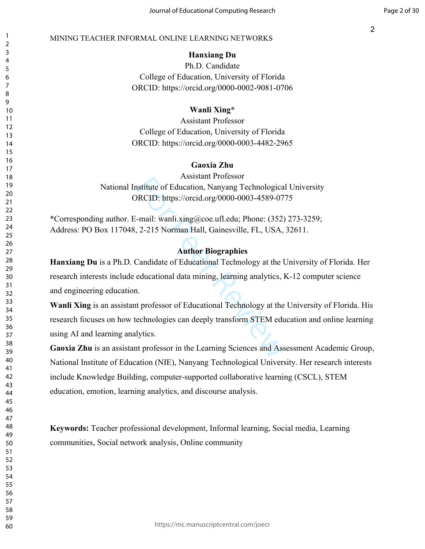## **Hanxiang Du**

Ph.D. Candidate College of Education, University of Florida ORCID: https://orcid.org/0000-0002-9081-0706

## **Wanli Xing\***

Assistant Professor College of Education, University of Florida ORCID: https://orcid.org/0000-0003-4482-2965

## **Gaoxia Zhu**

Assistant Professor National Institute of Education, Nanyang Technological University ORCID: https://orcid.org/0000-0003-4589-0775

\*Corresponding author. E-mail: wanli.xing@coe.ufl.edu; Phone: (352) 273-3259; Address: PO Box 117048, 2-215 Norman Hall, Gainesville, FL, USA, 32611.

## **Author Biographies**

Assistant Frotesson<br>
Statitute of Education, Nanyang Technologica<br>
RCID: https://orcid.org/0000-0003-4589-07<br>
-mail: wanli.xing@coe.ufl.edu; Phone: (352)<br>
2-215 Norman Hall, Gainesville, FL, USA,<br> **Author Biographies**<br>
Can **Hanxiang Du** is a Ph.D. Candidate of Educational Technology at the University of Florida. Her research interests include educational data mining, learning analytics, K-12 computer science and engineering education.

**Wanli Xing** is an assistant professor of Educational Technology at the University of Florida. His research focuses on how technologies can deeply transform STEM education and online learning using AI and learning analytics.

**Gaoxia Zhu** is an assistant professor in the Learning Sciences and Assessment Academic Group, National Institute of Education (NIE), Nanyang Technological University. Her research interests include Knowledge Building, computer-supported collaborative learning (CSCL), STEM education, emotion, learning analytics, and discourse analysis.

**Keywords:** Teacher professional development, Informal learning, Social media, Learning communities, Social network analysis, Online community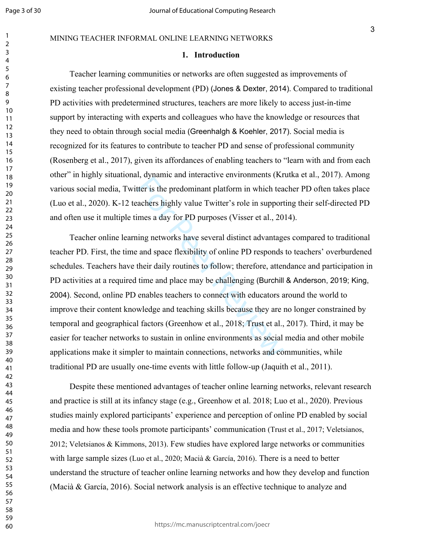#### MINING TEACHER INFORMAL ONLINE LEARNING NETWORKS

#### **1. Introduction**

Teacher learning communities or networks are often suggested as improvements of existing teacher professional development (PD) (Jones & Dexter, 2014). Compared to traditional PD activities with predetermined structures, teachers are more likely to access just-in-time support by interacting with experts and colleagues who have the knowledge or resources that they need to obtain through social media (Greenhalgh & Koehler, 2017). Social media is recognized for its features to contribute to teacher PD and sense of professional community (Rosenberg et al., 2017), given its affordances of enabling teachers to "learn with and from each other" in highly situational, dynamic and interactive environments (Krutka et al., 2017). Among various social media, Twitter is the predominant platform in which teacher PD often takes place (Luo et al., 2020). K-12 teachers highly value Twitter's role in supporting their self-directed PD and often use it multiple times a day for PD purposes (Visser et al., 2014).

tter is the predominant platform in which tea<br>acchers highly value Twitter's role in support<br>imes a day for PD purposes (Visser et al., 20<br>ing networks have several distinct advantage<br>and space flexibility of online PD res Teacher online learning networks have several distinct advantages compared to traditional teacher PD. First, the time and space flexibility of online PD responds to teachers' overburdened schedules. Teachers have their daily routines to follow; therefore, attendance and participation in PD activities at a required time and place may be challenging (Burchill & Anderson, 2019; King, 2004). Second, online PD enables teachers to connect with educators around the world to improve their content knowledge and teaching skills because they are no longer constrained by temporal and geographical factors (Greenhow et al., 2018; Trust et al., 2017). Third, it may be easier for teacher networks to sustain in online environments as social media and other mobile applications make it simpler to maintain connections, networks and communities, while traditional PD are usually one-time events with little follow-up (Jaquith et al., 2011).

Despite these mentioned advantages of teacher online learning networks, relevant research and practice is still at its infancy stage (e.g., Greenhow et al. 2018; Luo et al., 2020). Previous studies mainly explored participants' experience and perception of online PD enabled by social media and how these tools promote participants' communication (Trust et al., 2017; Veletsianos, 2012; Veletsianos & Kimmons, 2013). Few studies have explored large networks or communities with large sample sizes (Luo et al., 2020; Macià & García, 2016). There is a need to better understand the structure of teacher online learning networks and how they develop and function (Macià & García, 2016). Social network analysis is an effective technique to analyze and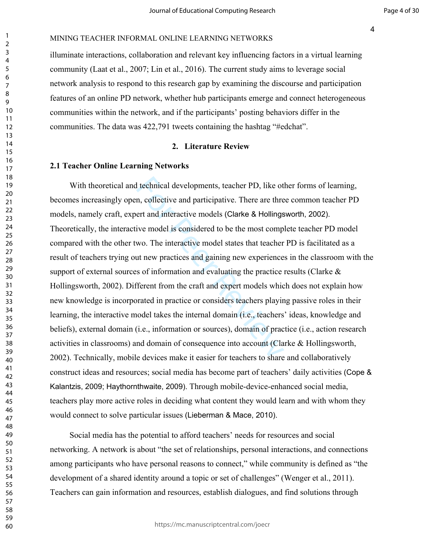#### MINING TEACHER INFORMAL ONLINE LEARNING NETWORKS

illuminate interactions, collaboration and relevant key influencing factors in a virtual learning community (Laat et al., 2007; Lin et al., 2016). The current study aims to leverage social network analysis to respond to this research gap by examining the discourse and participation features of an online PD network, whether hub participants emerge and connect heterogeneous communities within the network, and if the participants' posting behaviors differ in the communities. The data was 422,791 tweets containing the hashtag "#edchat".

#### **2. Literature Review**

#### **2.1 Teacher Online Learning Networks**

I technical developments, teacher PD, like of<br>n, collective and participative. There are thre<br>ert and interactive models (Clarke & Hollings<br>ive model is considered to be the most comp<br>wo. The interactive model states that With theoretical and technical developments, teacher PD, like other forms of learning, becomes increasingly open, collective and participative. There are three common teacher PD models, namely craft, expert and interactive models (Clarke & Hollingsworth, 2002). Theoretically, the interactive model is considered to be the most complete teacher PD model compared with the other two. The interactive model states that teacher PD is facilitated as a result of teachers trying out new practices and gaining new experiences in the classroom with the support of external sources of information and evaluating the practice results (Clarke & Hollingsworth, 2002). Different from the craft and expert models which does not explain how new knowledge is incorporated in practice or considers teachers playing passive roles in their learning, the interactive model takes the internal domain (i.e., teachers' ideas, knowledge and beliefs), external domain (i.e., information or sources), domain of practice (i.e., action research activities in classrooms) and domain of consequence into account (Clarke & Hollingsworth, 2002). Technically, mobile devices make it easier for teachers to share and collaboratively construct ideas and resources; social media has become part of teachers' daily activities (Cope & Kalantzis, 2009; Haythornthwaite, 2009). Through mobile-device-enhanced social media, teachers play more active roles in deciding what content they would learn and with whom they would connect to solve particular issues (Lieberman & Mace, 2010).

Social media has the potential to afford teachers' needs for resources and social networking. A network is about "the set of relationships, personal interactions, and connections among participants who have personal reasons to connect," while community is defined as "the development of a shared identity around a topic or set of challenges" (Wenger et al., 2011). Teachers can gain information and resources, establish dialogues, and find solutions through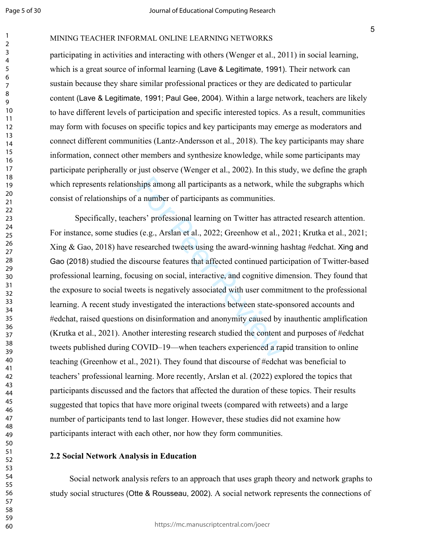MINING TEACHER INFORMAL ONLINE LEARNING NETWORKS

participating in activities and interacting with others (Wenger et al., 2011) in social learning, which is a great source of informal learning (Lave & Legitimate, 1991). Their network can sustain because they share similar professional practices or they are dedicated to particular content (Lave & Legitimate, 1991; Paul Gee, 2004). Within a large network, teachers are likely to have different levels of participation and specific interested topics. As a result, communities may form with focuses on specific topics and key participants may emerge as moderators and connect different communities (Lantz-Andersson et al., 2018). The key participants may share information, connect other members and synthesize knowledge, while some participants may participate peripherally or just observe (Wenger et al., 2002). In this study, we define the graph which represents relationships among all participants as a network, while the subgraphs which consist of relationships of a number of participants as communities.

hips among all participants as a network, wh<br>
a number of participants as communities.<br>
ers' professional learning on Twitter has attr<br>
i (e.g., Arslan et al., 2022; Greenhow et al., 2<br>
researched tweets using the award-w Specifically, teachers' professional learning on Twitter has attracted research attention. For instance, some studies (e.g., Arslan et al., 2022; Greenhow et al., 2021; Krutka et al., 2021; Xing  $\&$  Gao, 2018) have researched tweets using the award-winning hashtag #edchat. Xing and Gao (2018) studied the discourse features that affected continued participation of Twitter-based professional learning, focusing on social, interactive, and cognitive dimension. They found that the exposure to social tweets is negatively associated with user commitment to the professional learning. A recent study investigated the interactions between state-sponsored accounts and #edchat, raised questions on disinformation and anonymity caused by inauthentic amplification (Krutka et al., 2021). Another interesting research studied the content and purposes of #edchat tweets published during COVID–19—when teachers experienced a rapid transition to online teaching (Greenhow et al., 2021). They found that discourse of #edchat was beneficial to teachers' professional learning. More recently, Arslan et al. (2022) explored the topics that participants discussed and the factors that affected the duration of these topics. Their results suggested that topics that have more original tweets (compared with retweets) and a large number of participants tend to last longer. However, these studies did not examine how participants interact with each other, nor how they form communities.

#### **2.2 Social Network Analysis in Education**

Social network analysis refers to an approach that uses graph theory and network graphs to study social structures (Otte & Rousseau, 2002). A social network represents the connections of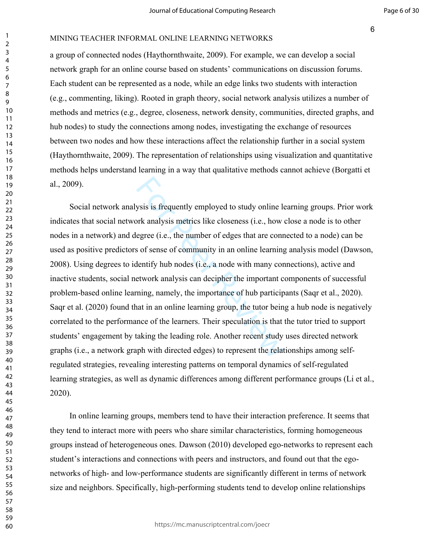#### MINING TEACHER INFORMAL ONLINE LEARNING NETWORKS

a group of connected nodes (Haythornthwaite, 2009). For example, we can develop a social network graph for an online course based on students' communications on discussion forums. Each student can be represented as a node, while an edge links two students with interaction (e.g., commenting, liking). Rooted in graph theory, social network analysis utilizes a number of methods and metrics (e.g., degree, closeness, network density, communities, directed graphs, and hub nodes) to study the connections among nodes, investigating the exchange of resources between two nodes and how these interactions affect the relationship further in a social system (Haythornthwaite, 2009). The representation of relationships using visualization and quantitative methods helps understand learning in a way that qualitative methods cannot achieve (Borgatti et al., 2009).

ysis is frequently employed to study online look analysis metrics like closeness (i.e., how egree (i.e., the number of edges that are connos of sense of community in an online learning lentify hub nodes (i.e., a node with Social network analysis is frequently employed to study online learning groups. Prior work indicates that social network analysis metrics like closeness (i.e., how close a node is to other nodes in a network) and degree (i.e., the number of edges that are connected to a node) can be used as positive predictors of sense of community in an online learning analysis model (Dawson, 2008). Using degrees to identify hub nodes (i.e., a node with many connections), active and inactive students, social network analysis can decipher the important components of successful problem-based online learning, namely, the importance of hub participants (Saqr et al., 2020). Saqr et al. (2020) found that in an online learning group, the tutor being a hub node is negatively correlated to the performance of the learners. Their speculation is that the tutor tried to support students' engagement by taking the leading role. Another recent study uses directed network graphs (i.e., a network graph with directed edges) to represent the relationships among selfregulated strategies, revealing interesting patterns on temporal dynamics of self-regulated learning strategies, as well as dynamic differences among different performance groups (Li et al., 2020).

In online learning groups, members tend to have their interaction preference. It seems that they tend to interact more with peers who share similar characteristics, forming homogeneous groups instead of heterogeneous ones. Dawson (2010) developed ego-networks to represent each student's interactions and connections with peers and instructors, and found out that the egonetworks of high- and low-performance students are significantly different in terms of network size and neighbors. Specifically, high-performing students tend to develop online relationships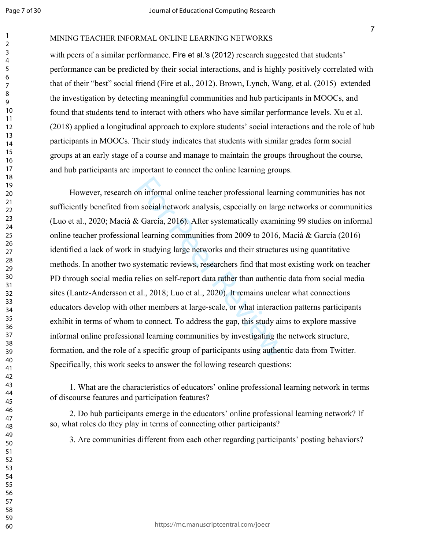MINING TEACHER INFORMAL ONLINE LEARNING NETWORKS

with peers of a similar performance. Fire et al.'s (2012) research suggested that students' performance can be predicted by their social interactions, and is highly positively correlated with that of their "best" social friend (Fire et al., 2012). Brown, Lynch, Wang, et al. (2015) extended the investigation by detecting meaningful communities and hub participants in MOOCs, and found that students tend to interact with others who have similar performance levels. Xu et al. (2018) applied a longitudinal approach to explore students' social interactions and the role of hub participants in MOOCs. Their study indicates that students with similar grades form social groups at an early stage of a course and manage to maintain the groups throughout the course, and hub participants are important to connect the online learning groups.

on informal online teacher professional learnin<br>
a social network analysis, especially on large<br>  $\lambda$  García, 2016). After systematically examin<br>
al learning communities from 2009 to 2016, h<br>
in studying large networks an However, research on informal online teacher professional learning communities has not sufficiently benefited from social network analysis, especially on large networks or communities (Luo et al., 2020; Macià & García, 2016). After systematically examining 99 studies on informal online teacher professional learning communities from 2009 to 2016, Macià & García (2016) identified a lack of work in studying large networks and their structures using quantitative methods. In another two systematic reviews, researchers find that most existing work on teacher PD through social media relies on self-report data rather than authentic data from social media sites (Lantz-Andersson et al., 2018; Luo et al., 2020). It remains unclear what connections educators develop with other members at large-scale, or what interaction patterns participants exhibit in terms of whom to connect. To address the gap, this study aims to explore massive informal online professional learning communities by investigating the network structure, formation, and the role of a specific group of participants using authentic data from Twitter. Specifically, this work seeks to answer the following research questions:

1. What are the characteristics of educators' online professional learning network in terms of discourse features and participation features?

2. Do hub participants emerge in the educators' online professional learning network? If so, what roles do they play in terms of connecting other participants?

3. Are communities different from each other regarding participants' posting behaviors?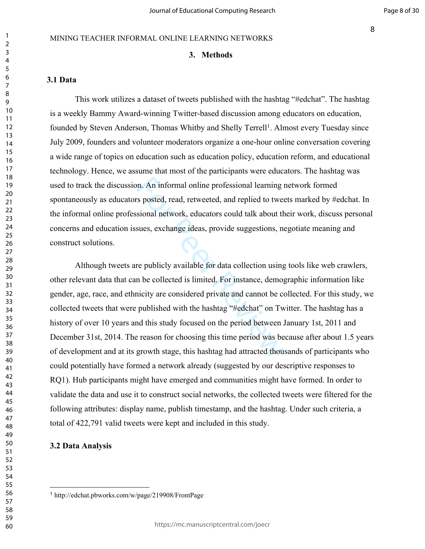#### MINING TEACHER INFORMAL ONLINE LEARNING NETWORKS

### **3. Methods**

## **3.1 Data**

This work utilizes a dataset of tweets published with the hashtag "#edchat". The hashtag is a weekly Bammy Award-winning Twitter-based discussion among educators on education, founded by Steven Anderson, Thomas Whitby and Shelly Terrell<sup>1</sup>. Almost every Tuesday since July 2009, founders and volunteer moderators organize a one-hour online conversation covering a wide range of topics on education such as education policy, education reform, and educational technology. Hence, we assume that most of the participants were educators. The hashtag was used to track the discussion. An informal online professional learning network formed spontaneously as educators posted, read, retweeted, and replied to tweets marked by #edchat. In the informal online professional network, educators could talk about their work, discuss personal concerns and education issues, exchange ideas, provide suggestions, negotiate meaning and construct solutions.

on. An informal online professional learning is<br>posted, read, retweeted, and replied to twee<br>sional network, educators could talk about th<br>sues, exchange ideas, provide suggestions, no<br>re publicly available for data collec Although tweets are publicly available for data collection using tools like web crawlers, other relevant data that can be collected is limited. For instance, demographic information like gender, age, race, and ethnicity are considered private and cannot be collected. For this study, we collected tweets that were published with the hashtag "#edchat" on Twitter. The hashtag has a history of over 10 years and this study focused on the period between January 1st, 2011 and December 31st, 2014. The reason for choosing this time period was because after about 1.5 years of development and at its growth stage, this hashtag had attracted thousands of participants who could potentially have formed a network already (suggested by our descriptive responses to RQ1). Hub participants might have emerged and communities might have formed. In order to validate the data and use it to construct social networks, the collected tweets were filtered for the following attributes: display name, publish timestamp, and the hashtag. Under such criteria, a total of 422,791 valid tweets were kept and included in this study.

### **3.2 Data Analysis**

http://edchat.pbworks.com/w/page/219908/FrontPage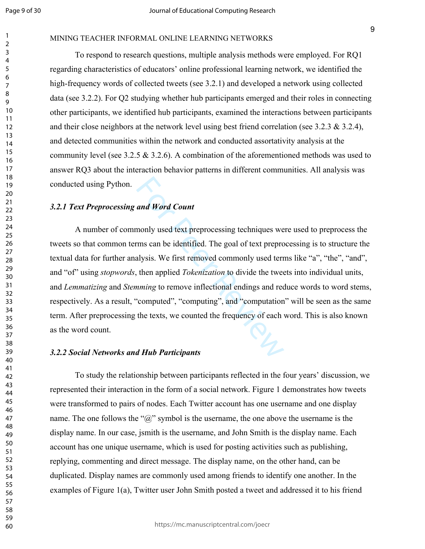### MINING TEACHER INFORMAL ONLINE LEARNING NETWORKS

To respond to research questions, multiple analysis methods were employed. For RQ1 regarding characteristics of educators' online professional learning network, we identified the high-frequency words of collected tweets (see 3.2.1) and developed a network using collected data (see 3.2.2). For Q2 studying whether hub participants emerged and their roles in connecting other participants, we identified hub participants, examined the interactions between participants and their close neighbors at the network level using best friend correlation (see 3.2.3  $\&$  3.2.4), and detected communities within the network and conducted assortativity analysis at the community level (see 3.2.5  $\&$  3.2.6). A combination of the aforementioned methods was used to answer RQ3 about the interaction behavior patterns in different communities. All analysis was conducted using Python.

### *3.2.1 Text Preprocessing and Word Count*

and Word Count<br>monly used text preprocessing techniques we<br>ms can be identified. The goal of text prepro<br>alysis. We first removed commonly used terr<br>then applied *Tokenization* to divide the twee<br>nming to remove inflection A number of commonly used text preprocessing techniques were used to preprocess the tweets so that common terms can be identified. The goal of text preprocessing is to structure the textual data for further analysis. We first removed commonly used terms like "a", "the", "and", and "of" using *stopwords*, then applied *Tokenization* to divide the tweets into individual units, and *Lemmatizing* and *Stemming* to remove inflectional endings and reduce words to word stems, respectively. As a result, "computed", "computing", and "computation" will be seen as the same term. After preprocessing the texts, we counted the frequency of each word. This is also known as the word count.

#### *3.2.2 Social Networks and Hub Participants*

To study the relationship between participants reflected in the four years' discussion, we represented their interaction in the form of a social network. Figure 1 demonstrates how tweets were transformed to pairs of nodes. Each Twitter account has one username and one display name. The one follows the " $\hat{a}$ " symbol is the username, the one above the username is the display name. In our case, jsmith is the username, and John Smith is the display name. Each account has one unique username, which is used for posting activities such as publishing, replying, commenting and direct message. The display name, on the other hand, can be duplicated. Display names are commonly used among friends to identify one another. In the examples of Figure 1(a), Twitter user John Smith posted a tweet and addressed it to his friend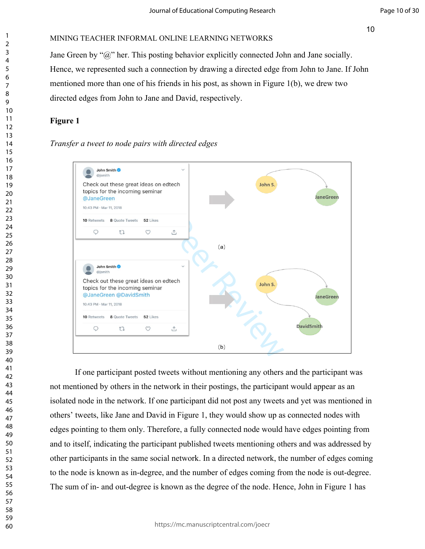Jane Green by "@" her. This posting behavior explicitly connected John and Jane socially. Hence, we represented such a connection by drawing a directed edge from John to Jane. If John mentioned more than one of his friends in his post, as shown in Figure 1(b), we drew two directed edges from John to Jane and David, respectively.

## **Figure 1**

## *Transfer a tweet to node pairs with directed edges*



If one participant posted tweets without mentioning any others and the participant was not mentioned by others in the network in their postings, the participant would appear as an isolated node in the network. If one participant did not post any tweets and yet was mentioned in others' tweets, like Jane and David in Figure 1, they would show up as connected nodes with edges pointing to them only. Therefore, a fully connected node would have edges pointing from and to itself, indicating the participant published tweets mentioning others and was addressed by other participants in the same social network. In a directed network, the number of edges coming to the node is known as in-degree, and the number of edges coming from the node is out-degree. The sum of in- and out-degree is known as the degree of the node. Hence, John in Figure 1 has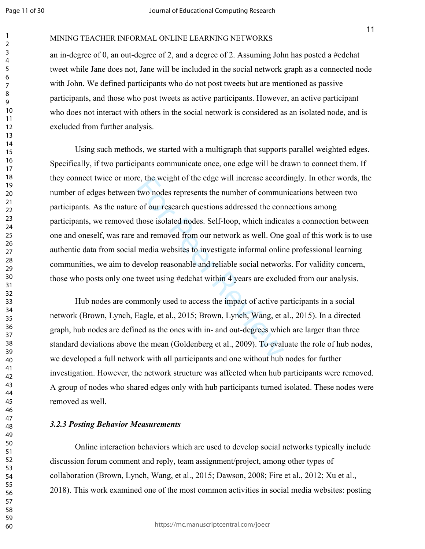MINING TEACHER INFORMAL ONLINE LEARNING NETWORKS

an in-degree of 0, an out-degree of 2, and a degree of 2. Assuming John has posted a #edchat tweet while Jane does not, Jane will be included in the social network graph as a connected node with John. We defined participants who do not post tweets but are mentioned as passive participants, and those who post tweets as active participants. However, an active participant who does not interact with others in the social network is considered as an isolated node, and is excluded from further analysis.

e, the weight of the edge will increase accord<br>two nodes represents the number of commun<br>of our research questions addressed the con<br>those isolated nodes. Self-loop, which indica<br>and removed from our network as well. One<br>m Using such methods, we started with a multigraph that supports parallel weighted edges. Specifically, if two participants communicate once, one edge will be drawn to connect them. If they connect twice or more, the weight of the edge will increase accordingly. In other words, the number of edges between two nodes represents the number of communications between two participants. As the nature of our research questions addressed the connections among participants, we removed those isolated nodes. Self-loop, which indicates a connection between one and oneself, was rare and removed from our network as well. One goal of this work is to use authentic data from social media websites to investigate informal online professional learning communities, we aim to develop reasonable and reliable social networks. For validity concern, those who posts only one tweet using #edchat within 4 years are excluded from our analysis.

Hub nodes are commonly used to access the impact of active participants in a social network (Brown, Lynch, Eagle, et al., 2015; Brown, Lynch, Wang, et al., 2015). In a directed graph, hub nodes are defined as the ones with in- and out-degrees which are larger than three standard deviations above the mean (Goldenberg et al., 2009). To evaluate the role of hub nodes, we developed a full network with all participants and one without hub nodes for further investigation. However, the network structure was affected when hub participants were removed. A group of nodes who shared edges only with hub participants turned isolated. These nodes were removed as well.

#### *3.2.3 Posting Behavior Measurements*

Online interaction behaviors which are used to develop social networks typically include discussion forum comment and reply, team assignment/project, among other types of collaboration (Brown, Lynch, Wang, et al., 2015; Dawson, 2008; Fire et al., 2012; Xu et al., 2018). This work examined one of the most common activities in social media websites: posting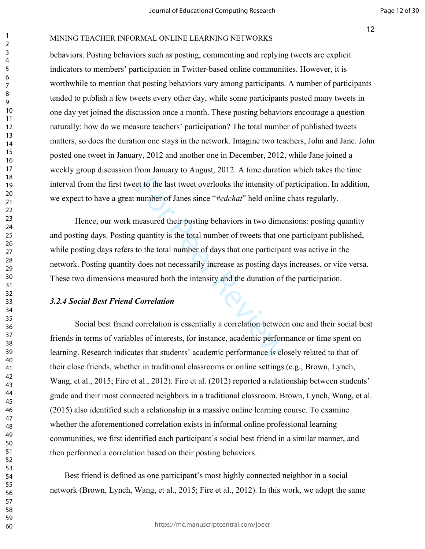#### MINING TEACHER INFORMAL ONLINE LEARNING NETWORKS

behaviors. Posting behaviors such as posting, commenting and replying tweets are explicit indicators to members' participation in Twitter-based online communities. However, it is worthwhile to mention that posting behaviors vary among participants. A number of participants tended to publish a few tweets every other day, while some participants posted many tweets in one day yet joined the discussion once a month. These posting behaviors encourage a question naturally: how do we measure teachers' participation? The total number of published tweets matters, so does the duration one stays in the network. Imagine two teachers, John and Jane. John posted one tweet in January, 2012 and another one in December, 2012, while Jane joined a weekly group discussion from January to August, 2012. A time duration which takes the time interval from the first tweet to the last tweet overlooks the intensity of participation. In addition, we expect to have a great number of Janes since "*#edchat*" held online chats regularly.

et to the last tweet overlooks the intensity of<br>number of Janes since "#edchat" held online<br>neasured their posting behaviors in two dime<br>quantity is the total number of tweets that or<br>to the total number of days that one p Hence, our work measured their posting behaviors in two dimensions: posting quantity and posting days. Posting quantity is the total number of tweets that one participant published, while posting days refers to the total number of days that one participant was active in the network. Posting quantity does not necessarily increase as posting days increases, or vice versa. These two dimensions measured both the intensity and the duration of the participation.

#### *3.2.4 Social Best Friend Correlation*

Social best friend correlation is essentially a correlation between one and their social best friends in terms of variables of interests, for instance, academic performance or time spent on learning. Research indicates that students' academic performance is closely related to that of their close friends, whether in traditional classrooms or online settings (e.g., Brown, Lynch, Wang, et al., 2015; Fire et al., 2012). Fire et al. (2012) reported a relationship between students' grade and their most connected neighbors in a traditional classroom. Brown, Lynch, Wang, et al. (2015) also identified such a relationship in a massive online learning course. To examine whether the aforementioned correlation exists in informal online professional learning communities, we first identified each participant's social best friend in a similar manner, and then performed a correlation based on their posting behaviors.

 Best friend is defined as one participant's most highly connected neighbor in a social network (Brown, Lynch, Wang, et al., 2015; Fire et al., 2012). In this work, we adopt the same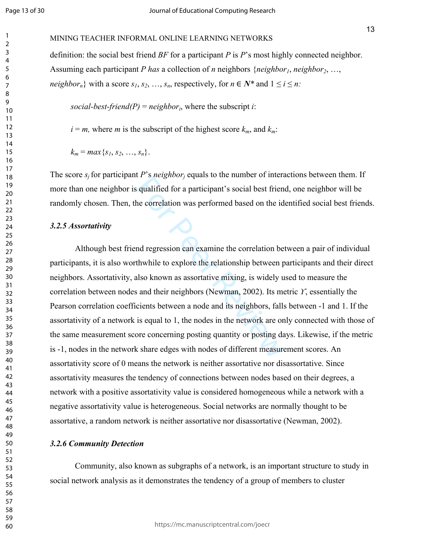#### MINING TEACHER INFORMAL ONLINE LEARNING NETWORKS

definition: the social best friend *BF* for a participant *P* is *P*'s most highly connected neighbor. Assuming each participant *P has* a collection of *n* neighbors {*neighbor1*, *neighbor2*, …, *neighbor<sub>n</sub></sub>* with a score  $s_1, s_2, ..., s_n$ , respectively, for  $n \in \mathbb{N}^*$  and  $1 \le i \le n$ .

social-best-friend(P) = neighbor<sub>i</sub>, where the subscript *i*:

 $i = m$ , where *m* is the subscript of the highest score  $k_m$ , and  $k_m$ .

 $k_m = max\{s_1, s_2, \ldots, s_n\}.$ 

The score  $s_j$  for participant *P*'s *neighbor<sub>j</sub>* equals to the number of interactions between them. If more than one neighbor is qualified for a participant's social best friend, one neighbor will be randomly chosen. Then, the correlation was performed based on the identified social best friends.

#### *3.2.5 Assortativity*

For Breeghoor) equals to the number of meet<br>in qualified for a participant's social best frien<br>the correlation was performed based on the id<br>not regression can examine the correlation be<br>thwhile to explore the relationship Although best friend regression can examine the correlation between a pair of individual participants, it is also worthwhile to explore the relationship between participants and their direct neighbors. Assortativity, also known as assortative mixing, is widely used to measure the correlation between nodes and their neighbors (Newman, 2002). Its metric *ϒ*, essentially the Pearson correlation coefficients between a node and its neighbors, falls between -1 and 1. If the assortativity of a network is equal to 1, the nodes in the network are only connected with those of the same measurement score concerning posting quantity or posting days. Likewise, if the metric is -1, nodes in the network share edges with nodes of different measurement scores. An assortativity score of 0 means the network is neither assortative nor disassortative. Since assortativity measures the tendency of connections between nodes based on their degrees, a network with a positive assortativity value is considered homogeneous while a network with a negative assortativity value is heterogeneous. Social networks are normally thought to be assortative, a random network is neither assortative nor disassortative (Newman, 2002).

#### *3.2.6 Community Detection*

Community, also known as subgraphs of a network, is an important structure to study in social network analysis as it demonstrates the tendency of a group of members to cluster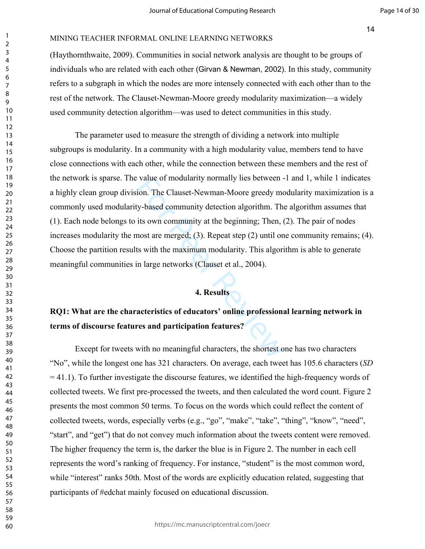(Haythornthwaite, 2009). Communities in social network analysis are thought to be groups of individuals who are related with each other (Girvan & Newman, 2002). In this study, community refers to a subgraph in which the nodes are more intensely connected with each other than to the rest of the network. The Clauset-Newman-Moore greedy modularity maximization—a widely used community detection algorithm—was used to detect communities in this study.

value of modularity normally lies between -<br>ion. The Clauset-Newman-Moore greedy moty-based community detection algorithm. The<br>its own community at the beginning; Then, (<br>most are merged; (3). Repeat step (2) until on<br>ts w The parameter used to measure the strength of dividing a network into multiple subgroups is modularity. In a community with a high modularity value, members tend to have close connections with each other, while the connection between these members and the rest of the network is sparse. The value of modularity normally lies between -1 and 1, while 1 indicates a highly clean group division. The Clauset-Newman-Moore greedy modularity maximization is a commonly used modularity-based community detection algorithm. The algorithm assumes that (1). Each node belongs to its own community at the beginning; Then, (2). The pair of nodes increases modularity the most are merged; (3). Repeat step (2) until one community remains; (4). Choose the partition results with the maximum modularity. This algorithm is able to generate meaningful communities in large networks (Clauset et al., 2004).

#### **4. Results**

## **RQ1: What are the characteristics of educators' online professional learning network in terms of discourse features and participation features?**

Except for tweets with no meaningful characters, the shortest one has two characters "No", while the longest one has 321 characters. On average, each tweet has 105.6 characters (*SD* = 41.1). To further investigate the discourse features, we identified the high-frequency words of collected tweets. We first pre-processed the tweets, and then calculated the word count. Figure 2 presents the most common 50 terms. To focus on the words which could reflect the content of collected tweets, words, especially verbs (e.g., "go", "make", "take", "thing", "know", "need", "start", and "get") that do not convey much information about the tweets content were removed. The higher frequency the term is, the darker the blue is in Figure 2. The number in each cell represents the word's ranking of frequency. For instance, "student" is the most common word, while "interest" ranks 50th. Most of the words are explicitly education related, suggesting that participants of #edchat mainly focused on educational discussion.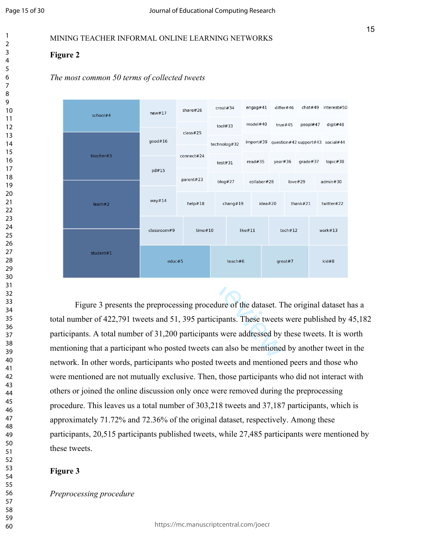## **Figure 2**





Figure 3 presents the preprocessing procedure of the dataset. The original dataset has a total number of 422,791 tweets and 51, 395 participants. These tweets were published by 45,182 participants. A total number of 31,200 participants were addressed by these tweets. It is worth mentioning that a participant who posted tweets can also be mentioned by another tweet in the network. In other words, participants who posted tweets and mentioned peers and those who were mentioned are not mutually exclusive. Then, those participants who did not interact with others or joined the online discussion only once were removed during the preprocessing procedure. This leaves us a total number of 303,218 tweets and 37,187 participants, which is approximately 71.72% and 72.36% of the original dataset, respectively. Among these participants, 20,515 participants published tweets, while 27,485 participants were mentioned by these tweets.

## **Figure 3**

*Preprocessing procedure*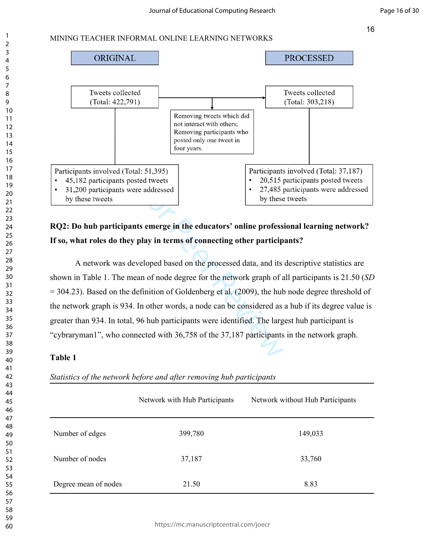

**RQ2: Do hub participants emerge in the educators' online professional learning network? If so, what roles do they play in terms of connecting other participants?**

ted tweets<br>
re addressed<br> **Example 18** the educators' online professi<br>
by these<br>
ts emerge in the educators' online professi<br>
by these<br>
by these<br>
veloped based on the processed data, and its<br>
an of node degree for the netw A network was developed based on the processed data, and its descriptive statistics are shown in Table 1. The mean of node degree for the network graph of all participants is 21.50 (*SD* = 304.23). Based on the definition of Goldenberg et al. (2009), the hub node degree threshold of the network graph is 934. In other words, a node can be considered as a hub if its degree value is greater than 934. In total, 96 hub participants were identified. The largest hub participant is "cybraryman1", who connected with 36,758 of the 37,187 participants in the network graph.

## **Table 1**

*Statistics of the network before and after removing hub participants*

|                      | Network with Hub Participants | Network without Hub Participants |
|----------------------|-------------------------------|----------------------------------|
| Number of edges      | 399,780                       | 149,033                          |
| Number of nodes      | 37,187                        | 33,760                           |
| Degree mean of nodes | 21.50                         | 8.83                             |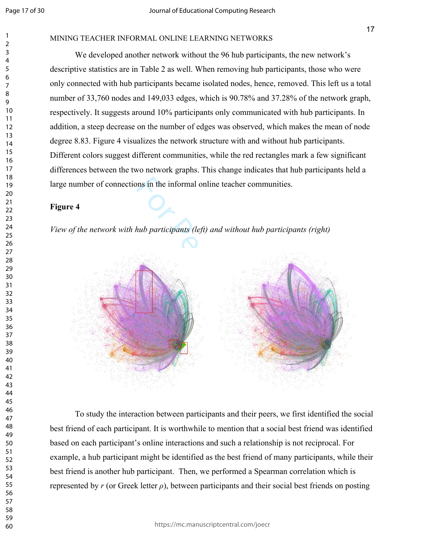#### MINING TEACHER INFORMAL ONLINE LEARNING NETWORKS

We developed another network without the 96 hub participants, the new network's descriptive statistics are in Table 2 as well. When removing hub participants, those who were only connected with hub participants became isolated nodes, hence, removed. This left us a total number of 33,760 nodes and 149,033 edges, which is 90.78% and 37.28% of the network graph, respectively. It suggests around 10% participants only communicated with hub participants. In addition, a steep decrease on the number of edges was observed, which makes the mean of node degree 8.83. Figure 4 visualizes the network structure with and without hub participants. Different colors suggest different communities, while the red rectangles mark a few significant differences between the two network graphs. This change indicates that hub participants held a large number of connections in the informal online teacher communities.

## **Figure 4**

*View of the network with hub participants (left) and without hub participants (right)*



To study the interaction between participants and their peers, we first identified the social best friend of each participant. It is worthwhile to mention that a social best friend was identified based on each participant's online interactions and such a relationship is not reciprocal. For example, a hub participant might be identified as the best friend of many participants, while their best friend is another hub participant. Then, we performed a Spearman correlation which is represented by  $r$  (or Greek letter  $\rho$ ), between participants and their social best friends on posting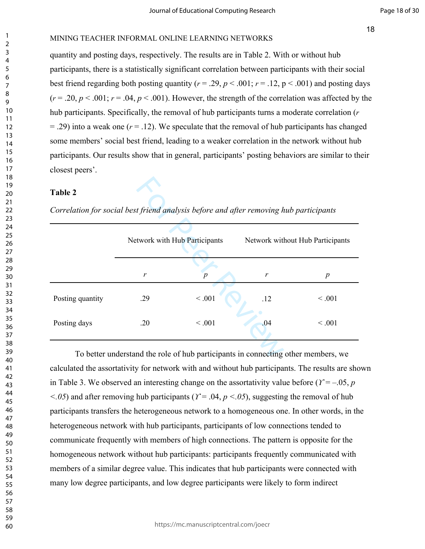## MINING TEACHER INFORMAL ONLINE LEARNING NETWORKS

quantity and posting days, respectively. The results are in Table 2. With or without hub participants, there is a statistically significant correlation between participants with their social best friend regarding both posting quantity ( $r = .29$ ,  $p < .001$ ;  $r = .12$ ,  $p < .001$ ) and posting days  $(r = .20, p < .001; r = .04, p < .001)$ . However, the strength of the correlation was affected by the hub participants. Specifically, the removal of hub participants turns a moderate correlation (*r*  $= .29$ ) into a weak one ( $r = .12$ ). We speculate that the removal of hub participants has changed some members' social best friend, leading to a weaker correlation in the network without hub participants. Our results show that in general, participants' posting behaviors are similar to their closest peers'.

### **Table 2**

| <b>Table 2</b><br>Correlation for social best friend analysis before and after removing hub participants |     |                               |     |                                  |  |  |
|----------------------------------------------------------------------------------------------------------|-----|-------------------------------|-----|----------------------------------|--|--|
|                                                                                                          |     | Network with Hub Participants |     | Network without Hub Participants |  |  |
|                                                                                                          | r   | $\boldsymbol{p}$              | r   | $\boldsymbol{p}$                 |  |  |
| Posting quantity                                                                                         | .29 | < 0.001                       | .12 | < 0.001                          |  |  |
| Posting days                                                                                             | .20 | < 0.001                       | .04 | < 0.001                          |  |  |
| To better understand the role of hub participants in connecting other members, we                        |     |                               |     |                                  |  |  |

To better understand the role of hub participants in connecting other members, we calculated the assortativity for network with and without hub participants. The results are shown in Table 3. We observed an interesting change on the assortativity value before ( $\gamma = -0.05$ , *p <.05*) and after removing hub participants (*ϒ* = .04, *p <.05*), suggesting the removal of hub participants transfers the heterogeneous network to a homogeneous one. In other words, in the heterogeneous network with hub participants, participants of low connections tended to communicate frequently with members of high connections. The pattern is opposite for the homogeneous network without hub participants: participants frequently communicated with members of a similar degree value. This indicates that hub participants were connected with many low degree participants, and low degree participants were likely to form indirect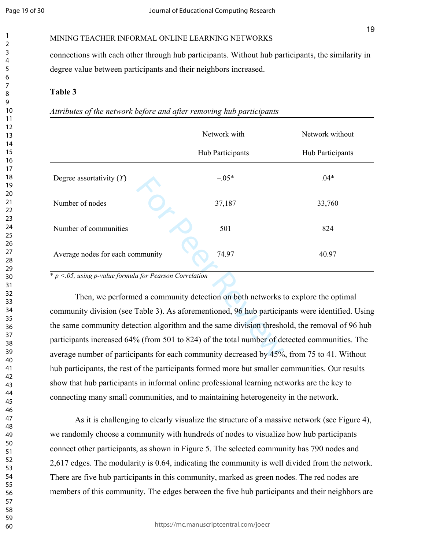MINING TEACHER INFORMAL ONLINE LEARNING NETWORKS

connections with each other through hub participants. Without hub participants, the similarity in degree value between participants and their neighbors increased.

### **Table 3**

*Attributes of the network before and after removing hub participants*

|                                                                                                 | Network with     | Network without  |  |  |  |
|-------------------------------------------------------------------------------------------------|------------------|------------------|--|--|--|
|                                                                                                 | Hub Participants | Hub Participants |  |  |  |
| Degree assortativity $(Y)$                                                                      | $-.05*$          | $.04*$           |  |  |  |
| Number of nodes                                                                                 | 37,187           | 33,760           |  |  |  |
| Number of communities                                                                           | 501              | 824              |  |  |  |
| Average nodes for each community                                                                | 74.97            | 40.97            |  |  |  |
| $\frac{k}{p}$ < 0.05, using p-value formula for Pearson Correlation                             |                  |                  |  |  |  |
| Then, we performed a community detection on both networks to explore the optimal                |                  |                  |  |  |  |
| community division (see Table 3). As aforementioned, 96 hub participants were identified. Using |                  |                  |  |  |  |
| the same community detection algorithm and the same division threshold, the removal of 96 hub   |                  |                  |  |  |  |
| participants increased 64% (from 501 to 824) of the total number of detected communities. The   |                  |                  |  |  |  |
| average number of participants for each community decreased by 45%, from 75 to 41. Without      |                  |                  |  |  |  |

Then, we performed a community detection on both networks to explore the optimal community division (see Table 3). As aforementioned, 96 hub participants were identified. Using the same community detection algorithm and the same division threshold, the removal of 96 hub participants increased 64% (from 501 to 824) of the total number of detected communities. The average number of participants for each community decreased by 45%, from 75 to 41. Without hub participants, the rest of the participants formed more but smaller communities. Our results show that hub participants in informal online professional learning networks are the key to connecting many small communities, and to maintaining heterogeneity in the network.

As it is challenging to clearly visualize the structure of a massive network (see Figure 4), we randomly choose a community with hundreds of nodes to visualize how hub participants connect other participants, as shown in Figure 5. The selected community has 790 nodes and 2,617 edges. The modularity is 0.64, indicating the community is well divided from the network. There are five hub participants in this community, marked as green nodes. The red nodes are members of this community. The edges between the five hub participants and their neighbors are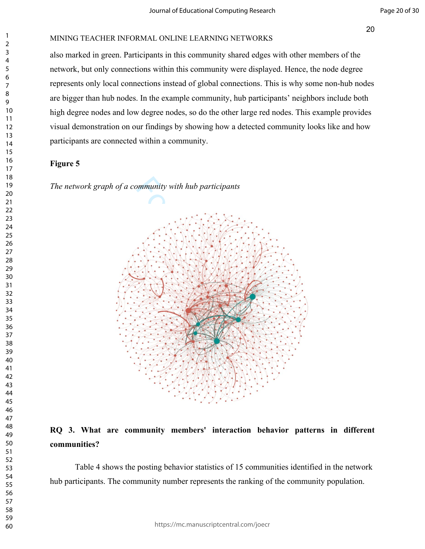#### MINING TEACHER INFORMAL ONLINE LEARNING NETWORKS

also marked in green. Participants in this community shared edges with other members of the network, but only connections within this community were displayed. Hence, the node degree represents only local connections instead of global connections. This is why some non-hub nodes are bigger than hub nodes. In the example community, hub participants' neighbors include both high degree nodes and low degree nodes, so do the other large red nodes. This example provides visual demonstration on our findings by showing how a detected community looks like and how participants are connected within a community.

#### **Figure 5**

*The network graph of a community with hub participants*



## **RQ 3. What are community members' interaction behavior patterns in different communities?**

Table 4 shows the posting behavior statistics of 15 communities identified in the network hub participants. The community number represents the ranking of the community population.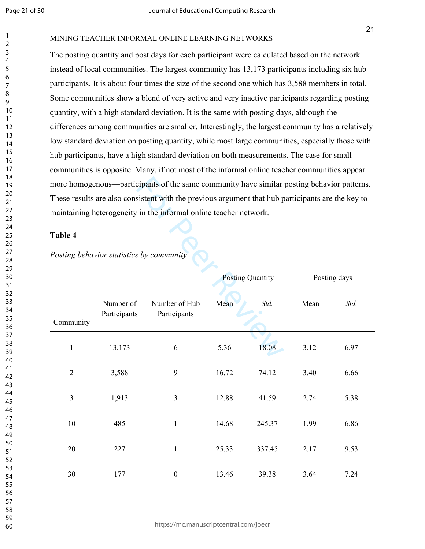#### MINING TEACHER INFORMAL ONLINE LEARNING NETWORKS

The posting quantity and post days for each participant were calculated based on the network instead of local communities. The largest community has 13,173 participants including six hub participants. It is about four times the size of the second one which has 3,588 members in total. Some communities show a blend of very active and very inactive participants regarding posting quantity, with a high standard deviation. It is the same with posting days, although the differences among communities are smaller. Interestingly, the largest community has a relatively low standard deviation on posting quantity, while most large communities, especially those with hub participants, have a high standard deviation on both measurements. The case for small communities is opposite. Many, if not most of the informal online teacher communities appear more homogenous—participants of the same community have similar posting behavior patterns. These results are also consistent with the previous argument that hub participants are the key to maintaining heterogeneity in the informal online teacher network.

## **Table 4**

| more homogenous—participants of the same community have similar posting behavior patterns.        |                                                                   |                               |       |                         |      |              |
|---------------------------------------------------------------------------------------------------|-------------------------------------------------------------------|-------------------------------|-------|-------------------------|------|--------------|
| These results are also consistent with the previous argument that hub participants are the key to |                                                                   |                               |       |                         |      |              |
|                                                                                                   | maintaining heterogeneity in the informal online teacher network. |                               |       |                         |      |              |
| <b>Table 4</b><br>Posting behavior statistics by community                                        |                                                                   |                               |       |                         |      |              |
|                                                                                                   |                                                                   |                               |       | <b>Posting Quantity</b> |      | Posting days |
| Community                                                                                         | Number of<br>Participants                                         | Number of Hub<br>Participants | Mean  | Std.                    | Mean | Std.         |
| $\mathbf{1}$                                                                                      | 13,173                                                            | 6                             | 5.36  | 18.08                   | 3.12 | 6.97         |
| $\overline{2}$                                                                                    | 3,588                                                             | 9                             | 16.72 | 74.12                   | 3.40 | 6.66         |
| $\overline{3}$                                                                                    | 1,913                                                             | 3                             | 12.88 | 41.59                   | 2.74 | 5.38         |
| 10                                                                                                | 485                                                               | $\mathbf{1}$                  | 14.68 | 245.37                  | 1.99 | 6.86         |
| 20                                                                                                | 227                                                               | 1                             | 25.33 | 337.45                  | 2.17 | 9.53         |
| 30                                                                                                | 177                                                               | $\boldsymbol{0}$              | 13.46 | 39.38                   | 3.64 | 7.24         |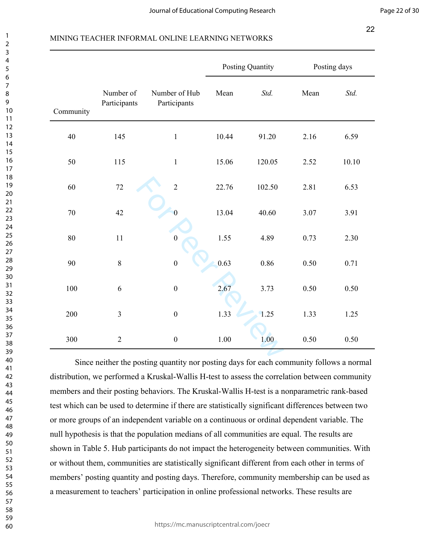|           |                           |                               | Posting Quantity |        | Posting days |       |
|-----------|---------------------------|-------------------------------|------------------|--------|--------------|-------|
| Community | Number of<br>Participants | Number of Hub<br>Participants | Mean             | Std.   | Mean         | Std.  |
| $40\,$    | 145                       | $\mathbf 1$                   | 10.44            | 91.20  | 2.16         | 6.59  |
| 50        | 115                       | $\mathbf 1$                   | 15.06            | 120.05 | 2.52         | 10.10 |
| 60        | $72\,$                    | $\overline{2}$                | 22.76            | 102.50 | 2.81         | 6.53  |
| 70        | 42                        | $\mathbf{0}$                  | 13.04            | 40.60  | 3.07         | 3.91  |
| 80        | 11                        | $\boldsymbol{0}$              | 1.55             | 4.89   | 0.73         | 2.30  |
| 90        | 8                         | $\boldsymbol{0}$              | 0.63             | 0.86   | 0.50         | 0.71  |
| 100       | 6                         | $\boldsymbol{0}$              | 2.67             | 3.73   | 0.50         | 0.50  |
| 200       | $\overline{3}$            | $\boldsymbol{0}$              | 1.33             | 1.25   | 1.33         | 1.25  |
| 300       | $\overline{2}$            | $\boldsymbol{0}$              | 1.00             | 1.00   | 0.50         | 0.50  |
|           |                           |                               |                  |        |              |       |

Since neither the posting quantity nor posting days for each community follows a normal distribution, we performed a Kruskal-Wallis H-test to assess the correlation between community members and their posting behaviors. The Kruskal-Wallis H-test is a nonparametric rank-based test which can be used to determine if there are statistically significant differences between two or more groups of an independent variable on a continuous or ordinal dependent variable. The null hypothesis is that the population medians of all communities are equal. The results are shown in Table 5. Hub participants do not impact the heterogeneity between communities. With or without them, communities are statistically significant different from each other in terms of members' posting quantity and posting days. Therefore, community membership can be used as a measurement to teachers' participation in online professional networks. These results are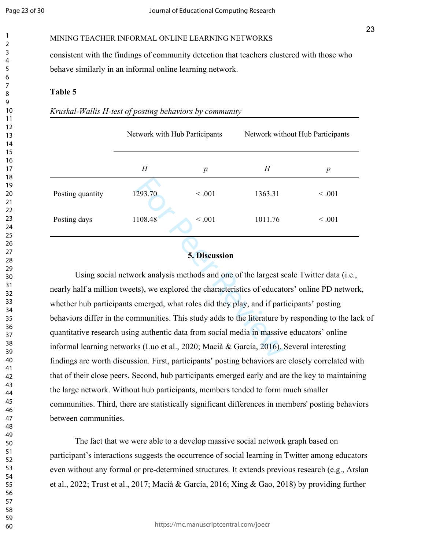MINING TEACHER INFORMAL ONLINE LEARNING NETWORKS

consistent with the findings of community detection that teachers clustered with those who behave similarly in an informal online learning network.

#### **Table 5**

| Kruskal-Wallis H-test of posting behaviors by community |  |  |  |
|---------------------------------------------------------|--|--|--|
|---------------------------------------------------------|--|--|--|

|                  | Network with Hub Participants |                  | Network without Hub Participants |                  |
|------------------|-------------------------------|------------------|----------------------------------|------------------|
|                  | H                             | $\boldsymbol{p}$ | H                                | $\boldsymbol{p}$ |
| Posting quantity | 1293.70                       | $\leq .001$      | 1363.31                          | $\leq .001$      |
| Posting days     | 1108.48                       | < 0.001          | 1011.76                          | < 0.001          |
|                  |                               |                  |                                  |                  |

## **5. Discussion**

293.70  $< .001$  1363.31<br>108.48  $< .001$  1011.76<br>5. Discussion<br>ork analysis methods and one of the largest so<br>ts), we explored the characteristics of educate<br>emerged, what roles did they play, and if part<br>nmunities. This stu Using social network analysis methods and one of the largest scale Twitter data (i.e., nearly half a million tweets), we explored the characteristics of educators' online PD network, whether hub participants emerged, what roles did they play, and if participants' posting behaviors differ in the communities. This study adds to the literature by responding to the lack of quantitative research using authentic data from social media in massive educators' online informal learning networks (Luo et al., 2020; Macià & García, 2016). Several interesting findings are worth discussion. First, participants' posting behaviors are closely correlated with that of their close peers. Second, hub participants emerged early and are the key to maintaining the large network. Without hub participants, members tended to form much smaller communities. Third, there are statistically significant differences in members' posting behaviors between communities.

The fact that we were able to a develop massive social network graph based on participant's interactions suggests the occurrence of social learning in Twitter among educators even without any formal or pre-determined structures. It extends previous research (e.g., Arslan et al., 2022; Trust et al., 2017; Macià & García, 2016; Xing & Gao, 2018) by providing further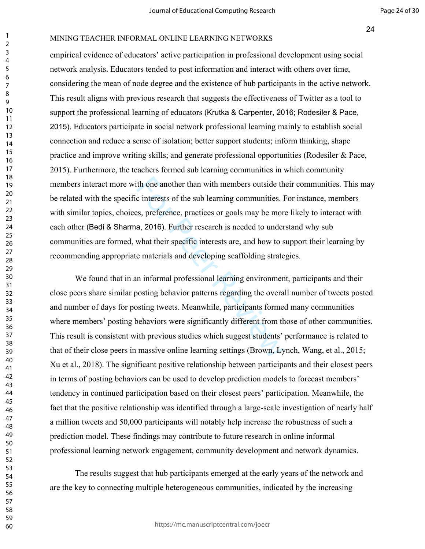#### MINING TEACHER INFORMAL ONLINE LEARNING NETWORKS

empirical evidence of educators' active participation in professional development using social network analysis. Educators tended to post information and interact with others over time, considering the mean of node degree and the existence of hub participants in the active network. This result aligns with previous research that suggests the effectiveness of Twitter as a tool to support the professional learning of educators (Krutka & Carpenter, 2016; Rodesiler & Pace, 2015). Educators participate in social network professional learning mainly to establish social connection and reduce a sense of isolation; better support students; inform thinking, shape practice and improve writing skills; and generate professional opportunities (Rodesiler & Pace, 2015). Furthermore, the teachers formed sub learning communities in which community members interact more with one another than with members outside their communities. This may be related with the specific interests of the sub learning communities. For instance, members with similar topics, choices, preference, practices or goals may be more likely to interact with each other (Bedi & Sharma, 2016). Further research is needed to understand why sub communities are formed, what their specific interests are, and how to support their learning by recommending appropriate materials and developing scaffolding strategies.

it one another than with members outside th<br>c interests of the sub learning communities. I<br>ss, preference, practices or goals may be mor<br>a, 2016). Further research is needed to under<br>what their specific interests are, and We found that in an informal professional learning environment, participants and their close peers share similar posting behavior patterns regarding the overall number of tweets posted and number of days for posting tweets. Meanwhile, participants formed many communities where members' posting behaviors were significantly different from those of other communities. This result is consistent with previous studies which suggest students' performance is related to that of their close peers in massive online learning settings (Brown, Lynch, Wang, et al., 2015; Xu et al., 2018). The significant positive relationship between participants and their closest peers in terms of posting behaviors can be used to develop prediction models to forecast members' tendency in continued participation based on their closest peers' participation. Meanwhile, the fact that the positive relationship was identified through a large-scale investigation of nearly half a million tweets and 50,000 participants will notably help increase the robustness of such a prediction model. These findings may contribute to future research in online informal professional learning network engagement, community development and network dynamics.

The results suggest that hub participants emerged at the early years of the network and are the key to connecting multiple heterogeneous communities, indicated by the increasing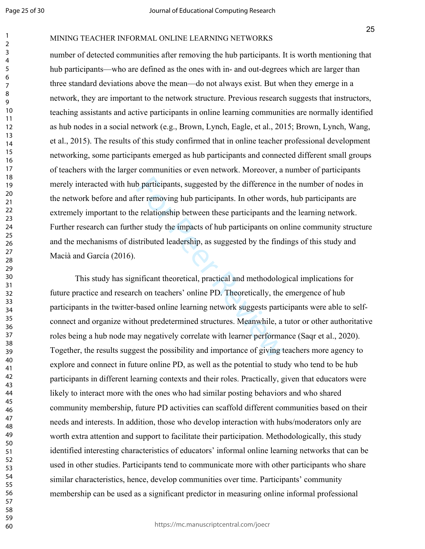#### MINING TEACHER INFORMAL ONLINE LEARNING NETWORKS

number of detected communities after removing the hub participants. It is worth mentioning that hub participants—who are defined as the ones with in- and out-degrees which are larger than three standard deviations above the mean—do not always exist. But when they emerge in a network, they are important to the network structure. Previous research suggests that instructors, teaching assistants and active participants in online learning communities are normally identified as hub nodes in a social network (e.g., Brown, Lynch, Eagle, et al., 2015; Brown, Lynch, Wang, et al., 2015). The results of this study confirmed that in online teacher professional development networking, some participants emerged as hub participants and connected different small groups of teachers with the larger communities or even network. Moreover, a number of participants merely interacted with hub participants, suggested by the difference in the number of nodes in the network before and after removing hub participants. In other words, hub participants are extremely important to the relationship between these participants and the learning network. Further research can further study the impacts of hub participants on online community structure and the mechanisms of distributed leadership, as suggested by the findings of this study and Macià and García (2016).

b participants, suggested by the difference in<br>ter removing hub participants. In other words<br>e relationship between these participants and<br>er study the impacts of hub participants on o<br>stributed leadership, as suggested by This study has significant theoretical, practical and methodological implications for future practice and research on teachers' online PD. Theoretically, the emergence of hub participants in the twitter-based online learning network suggests participants were able to selfconnect and organize without predetermined structures. Meanwhile, a tutor or other authoritative roles being a hub node may negatively correlate with learner performance (Saqr et al., 2020). Together, the results suggest the possibility and importance of giving teachers more agency to explore and connect in future online PD, as well as the potential to study who tend to be hub participants in different learning contexts and their roles. Practically, given that educators were likely to interact more with the ones who had similar posting behaviors and who shared community membership, future PD activities can scaffold different communities based on their needs and interests. In addition, those who develop interaction with hubs/moderators only are worth extra attention and support to facilitate their participation. Methodologically, this study identified interesting characteristics of educators' informal online learning networks that can be used in other studies. Participants tend to communicate more with other participants who share similar characteristics, hence, develop communities over time. Participants' community membership can be used as a significant predictor in measuring online informal professional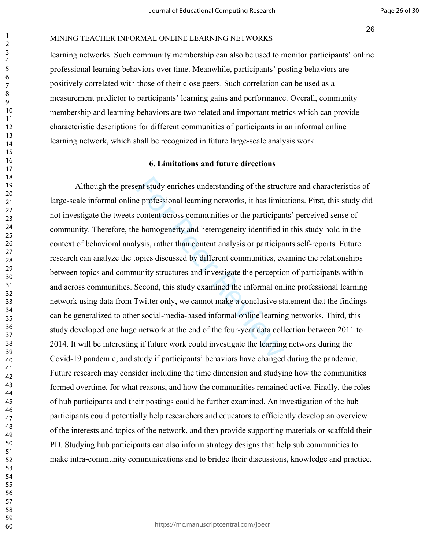#### MINING TEACHER INFORMAL ONLINE LEARNING NETWORKS

learning networks. Such community membership can also be used to monitor participants' online professional learning behaviors over time. Meanwhile, participants' posting behaviors are positively correlated with those of their close peers. Such correlation can be used as a measurement predictor to participants' learning gains and performance. Overall, community membership and learning behaviors are two related and important metrics which can provide characteristic descriptions for different communities of participants in an informal online learning network, which shall be recognized in future large-scale analysis work.

#### **6. Limitations and future directions**

ent study enriches understanding of the struct<br>e professional learning networks, it has limit<br>content across communities or the participan<br>e homogeneity and heterogeneity identified i<br>ysis, rather than content analysis or Although the present study enriches understanding of the structure and characteristics of large-scale informal online professional learning networks, it has limitations. First, this study did not investigate the tweets content across communities or the participants' perceived sense of community. Therefore, the homogeneity and heterogeneity identified in this study hold in the context of behavioral analysis, rather than content analysis or participants self-reports. Future research can analyze the topics discussed by different communities, examine the relationships between topics and community structures and investigate the perception of participants within and across communities. Second, this study examined the informal online professional learning network using data from Twitter only, we cannot make a conclusive statement that the findings can be generalized to other social-media-based informal online learning networks. Third, this study developed one huge network at the end of the four-year data collection between 2011 to 2014. It will be interesting if future work could investigate the learning network during the Covid-19 pandemic, and study if participants' behaviors have changed during the pandemic. Future research may consider including the time dimension and studying how the communities formed overtime, for what reasons, and how the communities remained active. Finally, the roles of hub participants and their postings could be further examined. An investigation of the hub participants could potentially help researchers and educators to efficiently develop an overview of the interests and topics of the network, and then provide supporting materials or scaffold their PD. Studying hub participants can also inform strategy designs that help sub communities to make intra-community communications and to bridge their discussions, knowledge and practice.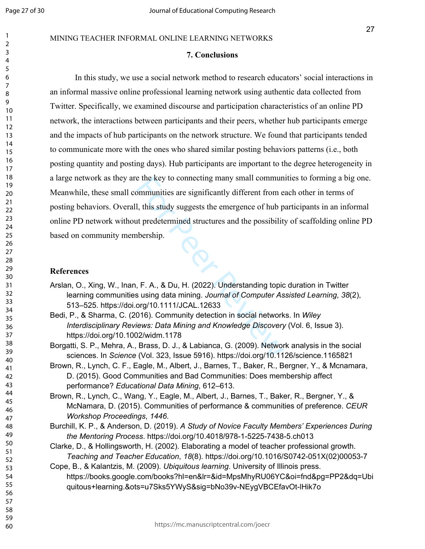### MINING TEACHER INFORMAL ONLINE LEARNING NETWORKS

#### **7. Conclusions**

e the key to connecting many small commun<br>
bmmunities are significantly different from e<br>
1, this study suggests the emergence of hub p<br>
at predetermined structures and the possibility<br>
hership.<br>
F. A., & Du, H. (2022). Un In this study, we use a social network method to research educators' social interactions in an informal massive online professional learning network using authentic data collected from Twitter. Specifically, we examined discourse and participation characteristics of an online PD network, the interactions between participants and their peers, whether hub participants emerge and the impacts of hub participants on the network structure. We found that participants tended to communicate more with the ones who shared similar posting behaviors patterns (i.e., both posting quantity and posting days). Hub participants are important to the degree heterogeneity in a large network as they are the key to connecting many small communities to forming a big one. Meanwhile, these small communities are significantly different from each other in terms of posting behaviors. Overall, this study suggests the emergence of hub participants in an informal online PD network without predetermined structures and the possibility of scaffolding online PD based on community membership.

### **References**

- Arslan, O., Xing, W., Inan, F. A., & Du, H. (2022). Understanding topic duration in Twitter learning communities using data mining. *Journal of Computer Assisted Learning*, *38*(2), 513–525. https://doi.org/10.1111/JCAL.12633
- Bedi, P., & Sharma, C. (2016). Community detection in social networks. In *Wiley Interdisciplinary Reviews: Data Mining and Knowledge Discovery* (Vol. 6, Issue 3). https://doi.org/10.1002/widm.1178

Borgatti, S. P., Mehra, A., Brass, D. J., & Labianca, G. (2009). Network analysis in the social sciences. In *Science* (Vol. 323, Issue 5916). https://doi.org/10.1126/science.1165821

- Brown, R., Lynch, C. F., Eagle, M., Albert, J., Barnes, T., Baker, R., Bergner, Y., & Mcnamara, D. (2015). Good Communities and Bad Communities: Does membership affect performance? *Educational Data Mining*, 612–613.
- Brown, R., Lynch, C., Wang, Y., Eagle, M., Albert, J., Barnes, T., Baker, R., Bergner, Y., & McNamara, D. (2015). Communities of performance & communities of preference. *CEUR Workshop Proceedings*, *1446*.
- Burchill, K. P., & Anderson, D. (2019). *A Study of Novice Faculty Members' Experiences During the Mentoring Process*. https://doi.org/10.4018/978-1-5225-7438-5.ch013
- Clarke, D., & Hollingsworth, H. (2002). Elaborating a model of teacher professional growth. *Teaching and Teacher Education*, *18*(8). https://doi.org/10.1016/S0742-051X(02)00053-7
- Cope, B., & Kalantzis, M. (2009). *Ubiquitous learning*. University of Illinois press. https://books.google.com/books?hl=en&lr=&id=MpsMhyRU06YC&oi=fnd&pg=PP2&dq=Ubi quitous+learning.&ots=u7Sks5YWyS&sig=bNo39v-NEygVBCEfavOt-lHik7o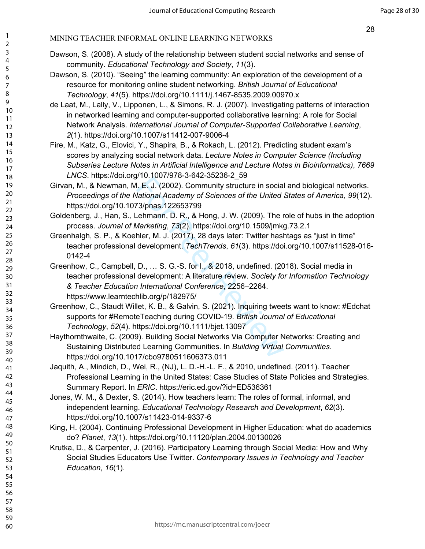## MINING TEACHER INFORMAL ONLINE LEARNING NETWORKS

- Dawson, S. (2008). A study of the relationship between student social networks and sense of community. *Educational Technology and Society*, *11*(3).
- Dawson, S. (2010). "Seeing" the learning community: An exploration of the development of a resource for monitoring online student networking. *British Journal of Educational Technology*, *41*(5). https://doi.org/10.1111/j.1467-8535.2009.00970.x
- de Laat, M., Lally, V., Lipponen, L., & Simons, R. J. (2007). Investigating patterns of interaction in networked learning and computer-supported collaborative learning: A role for Social Network Analysis. *International Journal of Computer-Supported Collaborative Learning*, *2*(1). https://doi.org/10.1007/s11412-007-9006-4
- Fire, M., Katz, G., Elovici, Y., Shapira, B., & Rokach, L. (2012). Predicting student exam's scores by analyzing social network data. *Lecture Notes in Computer Science (Including Subseries Lecture Notes in Artificial Intelligence and Lecture Notes in Bioinformatics)*, *7669 LNCS*. https://doi.org/10.1007/978-3-642-35236-2\_59
- Girvan, M., & Newman, M. E. J. (2002). Community structure in social and biological networks. *Proceedings of the National Academy of Sciences of the United States of America*, *99*(12). https://doi.org/10.1073/pnas.122653799
- Goldenberg, J., Han, S., Lehmann, D. R., & Hong, J. W. (2009). The role of hubs in the adoption process. *Journal of Marketing*, *73*(2). https://doi.org/10.1509/jmkg.73.2.1
- Greenhalgh, S. P., & Koehler, M. J. (2017). 28 days later: Twitter hashtags as "just in time" teacher professional development. *TechTrends*, *61*(3). https://doi.org/10.1007/s11528-016- 0142-4
- I. E. J. (2002). Community structure in social<br>Let. J. (2002). Community structure in social<br>*lational Academy of Sciences of the United*<br>73/pnas.122653799<br>Lehmann, D. R., & Hong, J. W. (2009). The r<br>*Jarketing*, 73(2). ht Greenhow, C., Campbell, D., … S. G.-S. for I., & 2018, undefined. (2018). Social media in teacher professional development: A literature review. *Society for Information Technology & Teacher Education International Conference*, 2256–2264. https://www.learntechlib.org/p/182975/
- Greenhow, C., Staudt Willet, K. B., & Galvin, S. (2021). Inquiring tweets want to know: #Edchat supports for #RemoteTeaching during COVID-19. *British Journal of Educational Technology*, *52*(4). https://doi.org/10.1111/bjet.13097
- Haythornthwaite, C. (2009). Building Social Networks Via Computer Networks: Creating and Sustaining Distributed Learning Communities. In *Building Virtual Communities*. https://doi.org/10.1017/cbo9780511606373.011
- Jaquith, A., Mindich, D., Wei, R., (NJ), L. D.-H.-L. F., & 2010, undefined. (2011). Teacher Professional Learning in the United States: Case Studies of State Policies and Strategies. Summary Report. In *ERIC*. https://eric.ed.gov/?id=ED536361
- Jones, W. M., & Dexter, S. (2014). How teachers learn: The roles of formal, informal, and independent learning. *Educational Technology Research and Development*, *62*(3). https://doi.org/10.1007/s11423-014-9337-6
- King, H. (2004). Continuing Professional Development in Higher Education: what do academics do? *Planet*, *13*(1). https://doi.org/10.11120/plan.2004.00130026
- Krutka, D., & Carpenter, J. (2016). Participatory Learning through Social Media: How and Why Social Studies Educators Use Twitter. *Contemporary Issues in Technology and Teacher Education*, *16*(1).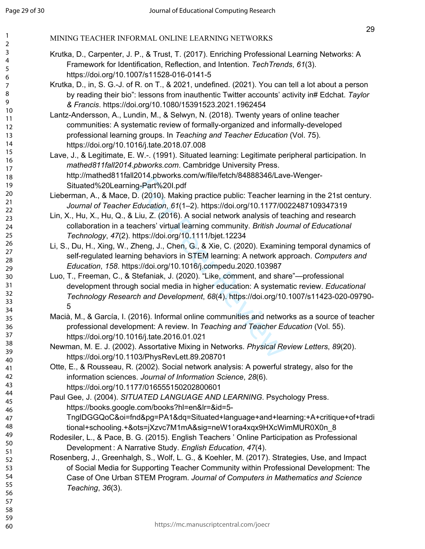- Krutka, D., Carpenter, J. P., & Trust, T. (2017). Enriching Professional Learning Networks: A Framework for Identification, Reflection, and Intention. *TechTrends*, *61*(3). https://doi.org/10.1007/s11528-016-0141-5
- Krutka, D., in, S. G.-J. of R. on T., & 2021, undefined. (2021). You can tell a lot about a person by reading their bio": lessons from inauthentic Twitter accounts' activity in# Edchat. *Taylor & Francis*. https://doi.org/10.1080/15391523.2021.1962454
- Lantz-Andersson, A., Lundin, M., & Selwyn, N. (2018). Twenty years of online teacher communities: A systematic review of formally-organized and informally-developed professional learning groups. In *Teaching and Teacher Education* (Vol. 75). https://doi.org/10.1016/j.tate.2018.07.008
- Lave, J., & Legitimate, E. W.-. (1991). Situated learning: Legitimate peripheral participation. In *mathed811fall2014.pbworks.com*. Cambridge University Press. http://mathed811fall2014.pbworks.com/w/file/fetch/84888346/Lave-Wenger-Situated%20Learning-Part%20I.pdf
- Lieberman, A., & Mace, D. (2010). Making practice public: Teacher learning in the 21st century. *Journal of Teacher Education*, *61*(1–2). https://doi.org/10.1177/0022487109347319
- Lin, X., Hu, X., Hu, Q., & Liu, Z. (2016). A social network analysis of teaching and research collaboration in a teachers' virtual learning community. *British Journal of Educational Technology*, *47*(2). https://doi.org/10.1111/bjet.12234
- Li, S., Du, H., Xing, W., Zheng, J., Chen, G., & Xie, C. (2020). Examining temporal dynamics of self-regulated learning behaviors in STEM learning: A network approach. *Computers and Education*, *158*. https://doi.org/10.1016/j.compedu.2020.103987
- 1914 Part 194001. The Tacking Part 19400011 Assortated Section (2010). Making practice public: Teacher leading collication, 61(1–2). https://doi.org/10.1177/01<br>Liu, Z. (2016). A social network analysis of techners' virtual Luo, T., Freeman, C., & Stefaniak, J. (2020). "Like, comment, and share"—professional development through social media in higher education: A systematic review. *Educational Technology Research and Development*, *68*(4). https://doi.org/10.1007/s11423-020-09790- 5
- Macià, M., & García, I. (2016). Informal online communities and networks as a source of teacher professional development: A review. In *Teaching and Teacher Education* (Vol. 55). https://doi.org/10.1016/j.tate.2016.01.021
- Newman, M. E. J. (2002). Assortative Mixing in Networks. *Physical Review Letters*, *89*(20). https://doi.org/10.1103/PhysRevLett.89.208701
- Otte, E., & Rousseau, R. (2002). Social network analysis: A powerful strategy, also for the information sciences. *Journal of Information Science*, *28*(6). https://doi.org/10.1177/016555150202800601
- Paul Gee, J. (2004). *SITUATED LANGUAGE AND LEARNING*. Psychology Press. https://books.google.com/books?hl=en&lr=&id=5- TnglDGGQoC&oi=fnd&pg=PA1&dq=Situated+language+and+learning:+A+critique+of+tradi
	- tional+schooling.+&ots=jXzvc7M1mA&sig=neW1ora4xqx9HXcWimMUR0X0n\_8
- Rodesiler, L., & Pace, B. G. (2015). English Teachers ' Online Participation as Professional Development : A Narrative Study. *English Education*, *47*(4).
- Rosenberg, J., Greenhalgh, S., Wolf, L. G., & Koehler, M. (2017). Strategies, Use, and Impact of Social Media for Supporting Teacher Community within Professional Development: The Case of One Urban STEM Program. *Journal of Computers in Mathematics and Science Teaching*, *36*(3).